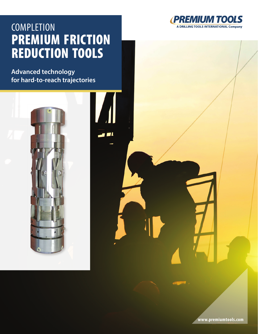## **COMPLETION** PREMIUM FRICTION REDUCTION TOOLS

**S** 

**Advanced technology for hard-to-reach trajectories**



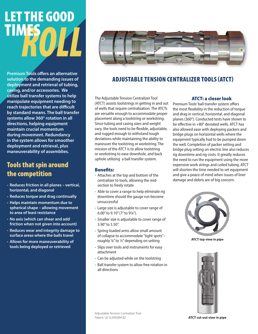# *ROLL* LET THE GOOD TIMES

**Premium Tools offers an alternative solution to the demanding issues of deployment and retrieval of tubing, casing, and/or accessories. We utilize ball transfer systems to help manipulate equipment needing to reach trajectories that are difficult by standard means. The ball transfer systems allow 360° rotation in all directions, helping equipment maintain crucial momentum during movement. Redundancy in the system allows for smoother deployment and retrieval, plus maneuverability of assemblies.**

## Tools that spin around the competition

- **Reduces friction in all planes vertical, horizontal, and diagonal**
- **Reduces torque and drag continually**
- **Helps maintain momentum due to spherical shape – allowing movement to area of least resistance**
- **No axis (which can shear and add friction when not given into account)**
- **Reduces wear and integrity damage to surface areas where the balls travel**
- **Allows for more maneuverability of tools being deployed or retrieved**



## ADJUSTABLE TENSION CENTRALIZER TOOLS (ATCT)

The Adjustable Tension Centralizer Tool (ATCT) assists toolstrings in getting in and out of wells that require centralization. The ATCTs are versatile enough to accommodate proper placement along a toolstring or workstring. Since tubing and casing sizes and weight vary, the tools need to be flexible, adjustable, and rugged enough to withstand tough deviations while maintaining the ability to maneuver the toolstring or workstring. The mission of the ATCT is to allow toolstring or workstring to ease downhole, and back uphole utilizing a ball transfer system.

#### Benefits:

- Attaches at the top and bottom of the centralizer to tools, allowing the midsection to freely rotate
- Able to cover a range to help eliminate rig downtime should the gauge run become unsuccessful
- Large size is adjustable to cover range of 6.00" to 9.10" (7" to 97/8").
- Smaller size is adjustable to cover range of 3.90" to 5.50".
- Spring-loaded arms allow small amount of collapse to accommodate "tight spots"– roughly 1/8" to 1/4" depending on setting
- Slips over tools and instruments for easy attachment
- Can be adjusted while on the toolstring
- Ball transfer system to allow free rotation in all directions

#### ATCT: a closer look

Premium Tools' ball transfer system offers the most flexibility in the reduction of torque and drag in vertical, horizontal, and diagonal planes (360°). Conducted tests have shown to be effective in +80° deviated wells. ATCT has also allowed ease with deploying packers and bridge plugs on horizontal wells where the equipment typically had to be pumped down the well. Completion of packer setting and bridge plug setting on electric line also reduces rig downtime and rig costs. It greatly reduces the need to run the equipment using the more expensive work strings and coiled tubing. ATCT will shorten the time needed to set equipment and give a peace of mind when issues of liner damage and debris are of big concern.



**ATCT top view in pipe**



**ATCT cut-out view in pipe**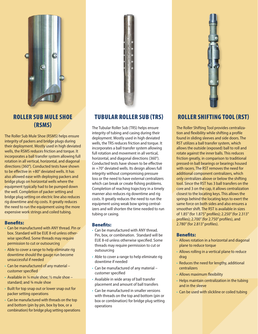

## ROLLER SUB MULE SHOE (RSMS)

The Roller Sub Mule Shoe (RSMS) helps ensure integrity of packers and bridge plugs during their deployment. Mostly used in high deviated wells, the RSMS reduces friction and torque. It incorporates a ball transfer system allowing full rotation in all vertical, horizontal, and diagonal directions (360°). Conducted tests have shown to be effective in +80° deviated wells. It has also allowed ease with deploying packers and bridge plugs on horizontal wells where the equipment typically had to be pumped down the well. Completion of packer setting and bridge plug setting on electric line also reduces rig downtime and rig costs. It greatly reduces the need to run the equipment using the more expensive work strings and coiled tubing.

#### Benefits:

- Can be manufactured with ANY thread. Pin or box. Standard will be EUE 8-rd unless otherwise specified. Some threads may require permission to cut or outsourcing
- Able to cover a range to help eliminate rig downtime should the gauge run become unsuccessful if needed
- Can be manufactured of any material customer specified
- Available in  $\frac{1}{4}$  mule shoe:  $\frac{1}{2}$  mule shoe standard; and ¾ mule shoe
- Built for top snap out or lower snap out for packer setting operations
- Can be manufactured with threads on the top and bottom (pin by pin, box by box, or a combination) for bridge plug setting operations



## TUBULAR ROLLER SUB (TRS)

The Tubular Roller Sub (TRS) helps ensure integrity of tubing and casing during their deployment. Mostly used in high deviated wells, the TRS reduces friction and torque. It incorporates a ball transfer system allowing full rotation and movement in all vertical, horizontal, and diagonal directions (360°). Conducted tests have shown to be effective in +70° deviated wells. Its design allows full integrity without compromising pressure loss or the need to have external centralizers which can break or create fishing problems. Completion of reaching trajectory in a timely manner also reduces rig downtime and rig costs. It greatly reduces the need to run the equipment using weak bow spring centralizers and will shorten the time needed to run tubing or casing.

#### Benefits:

- Can be manufactured with ANY thread. Pin, box, or combination. Standard will be EUE 8-rd unless otherwise specified. Some threads may require permission to cut or outsourcing
- Able to cover a range to help eliminate rig downtime if needed
- Can be manufactured of any material customer specified
- Available in wide array of ball transfer placement and amount of ball transfers
- Can be manufactured in smaller versions with threads on the top and bottom (pin or box or combination) for bridge plug setting operations

## ROLLER SHIFTING TOOL (RST)

The Roller Shifting Tool provides centralization and flexibility while shifting a profile found in sliding sleeves and side doors. The RST utilizes a ball transfer system, which allows the outside (exposed) ball to roll and rotate against the inner balls. This reduces friction greatly, in comparison to traditional pressed-in ball bearings or bearings housed with racers. The RST removes the need for additional component centralizers, which only centralizes above or below the shifting tool. Since the RST has 3 ball transfers on the core and 3 on the cap, it allows centralization closest to the locating keys. This allows the springs behind the locating keys to exert the same force on both sides and also ensures a smoother shift. The RST is available in sizes of 1.85" (for 1.875" profiles); 2.250" (for 2.313" profiles); 2.700" (for 2.750" profiles), and 2.780" (for 2.813" profiles).

#### Benefits:

- Allows rotation in a horizontal and diagonal plane to reduce torque
- Allows rolling in a vertical plane to reduce drag
- Reduces the need for lengthy, additional centralizers
- Allows maximum flexibility
- Helps maintain centralization in the tubing and in the sleeve
- Can be used with slickline or coiled tubing